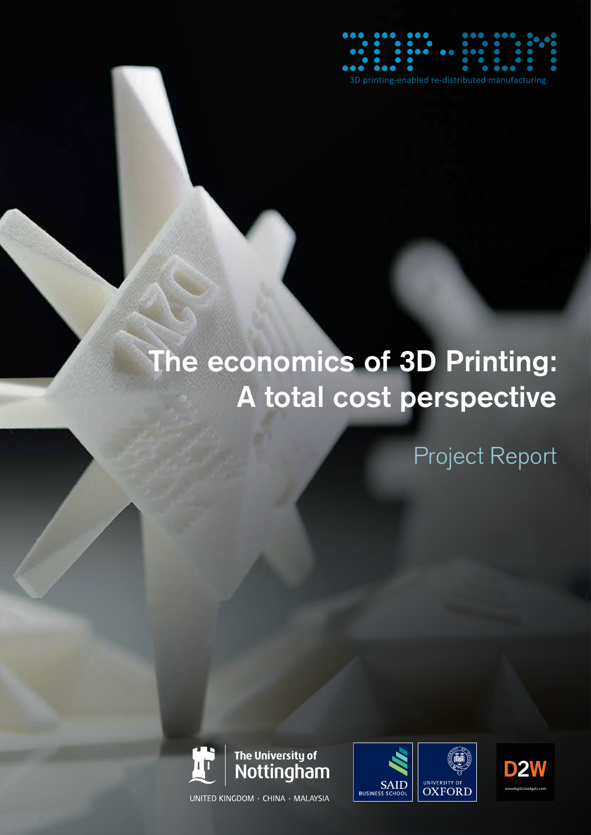

# The economics of 3D Printing: A total cost perspective

Project Report





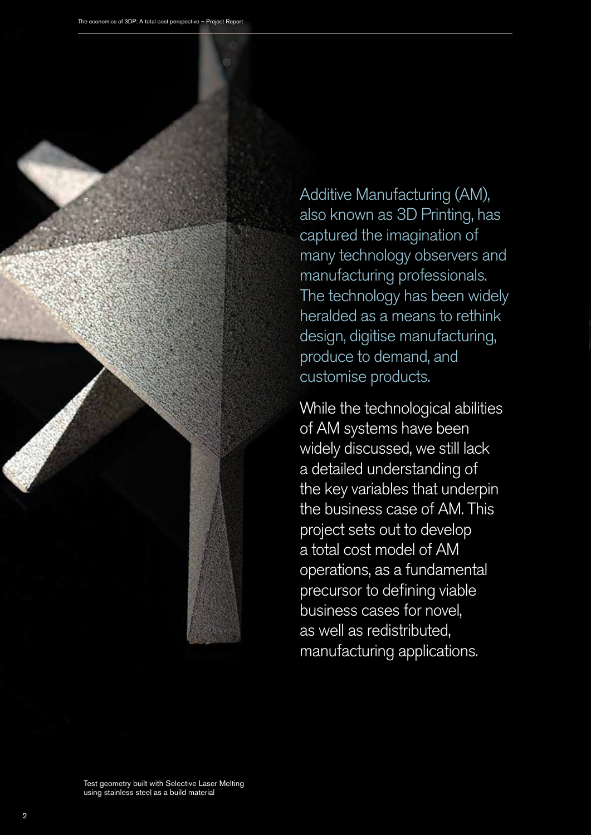

Additive Manufacturing (AM), also known as 3D Printing, has captured the imagination of many technology observers and manufacturing professionals. The technology has been widely heralded as a means to rethink design, digitise manufacturing, produce to demand, and customise products.

While the technological abilities of AM systems have been widely discussed, we still lack a detailed understanding of the key variables that underpin the business case of AM. This project sets out to develop a total cost model of AM operations, as a fundamental precursor to defining viable business cases for novel, as well as redistributed, manufacturing applications.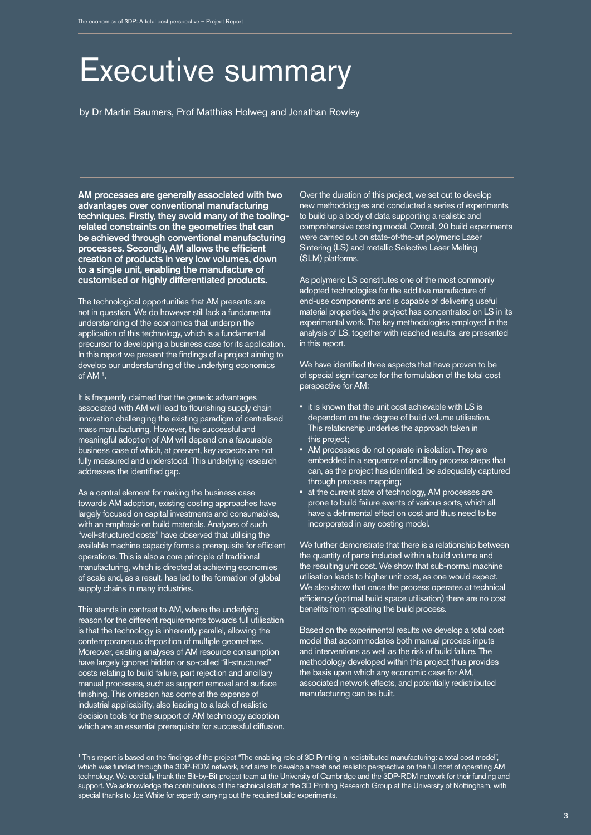### Executive summary

by Dr Martin Baumers, Prof Matthias Holweg and Jonathan Rowley

AM processes are generally associated with two advantages over conventional manufacturing techniques. Firstly, they avoid many of the toolingrelated constraints on the geometries that can be achieved through conventional manufacturing processes. Secondly, AM allows the efficient creation of products in very low volumes, down to a single unit, enabling the manufacture of customised or highly differentiated products.

The technological opportunities that AM presents are not in question. We do however still lack a fundamental understanding of the economics that underpin the application of this technology, which is a fundamental precursor to developing a business case for its application. In this report we present the findings of a project aiming to develop our understanding of the underlying economics of AM 1 .

It is frequently claimed that the generic advantages associated with AM will lead to flourishing supply chain innovation challenging the existing paradigm of centralised mass manufacturing. However, the successful and meaningful adoption of AM will depend on a favourable business case of which, at present, key aspects are not fully measured and understood. This underlying research addresses the identified gap.

As a central element for making the business case towards AM adoption, existing costing approaches have largely focused on capital investments and consumables, with an emphasis on build materials. Analyses of such "well-structured costs" have observed that utilising the available machine capacity forms a prerequisite for efficient operations. This is also a core principle of traditional manufacturing, which is directed at achieving economies of scale and, as a result, has led to the formation of global supply chains in many industries.

This stands in contrast to AM, where the underlying reason for the different requirements towards full utilisation is that the technology is inherently parallel, allowing the contemporaneous deposition of multiple geometries. Moreover, existing analyses of AM resource consumption have largely ignored hidden or so-called "ill-structured" costs relating to build failure, part rejection and ancillary manual processes, such as support removal and surface finishing. This omission has come at the expense of industrial applicability, also leading to a lack of realistic decision tools for the support of AM technology adoption which are an essential prerequisite for successful diffusion. Over the duration of this project, we set out to develop new methodologies and conducted a series of experiments to build up a body of data supporting a realistic and comprehensive costing model. Overall, 20 build experiments were carried out on state-of-the-art polymeric Laser Sintering (LS) and metallic Selective Laser Melting (SLM) platforms.

As polymeric LS constitutes one of the most commonly adopted technologies for the additive manufacture of end-use components and is capable of delivering useful material properties, the project has concentrated on LS in its experimental work. The key methodologies employed in the analysis of LS, together with reached results, are presented in this report.

We have identified three aspects that have proven to be of special significance for the formulation of the total cost perspective for AM:

- it is known that the unit cost achievable with LS is dependent on the degree of build volume utilisation. This relationship underlies the approach taken in this project;
- AM processes do not operate in isolation. They are embedded in a sequence of ancillary process steps that can, as the project has identified, be adequately captured through process mapping;
- at the current state of technology, AM processes are prone to build failure events of various sorts, which all have a detrimental effect on cost and thus need to be incorporated in any costing model.

We further demonstrate that there is a relationship between the quantity of parts included within a build volume and the resulting unit cost. We show that sub-normal machine utilisation leads to higher unit cost, as one would expect. We also show that once the process operates at technical efficiency (optimal build space utilisation) there are no cost benefits from repeating the build process.

Based on the experimental results we develop a total cost model that accommodates both manual process inputs and interventions as well as the risk of build failure. The methodology developed within this project thus provides the basis upon which any economic case for AM, associated network effects, and potentially redistributed manufacturing can be built.

<sup>1</sup> This report is based on the findings of the project "The enabling role of 3D Printing in redistributed manufacturing: a total cost model", which was funded through the 3DP-RDM network, and aims to develop a fresh and realistic perspective on the full cost of operating AM technology. We cordially thank the Bit-by-Bit project team at the University of Cambridge and the 3DP-RDM network for their funding and support. We acknowledge the contributions of the technical staff at the 3D Printing Research Group at the University of Nottingham, with special thanks to Joe White for expertly carrying out the required build experiments.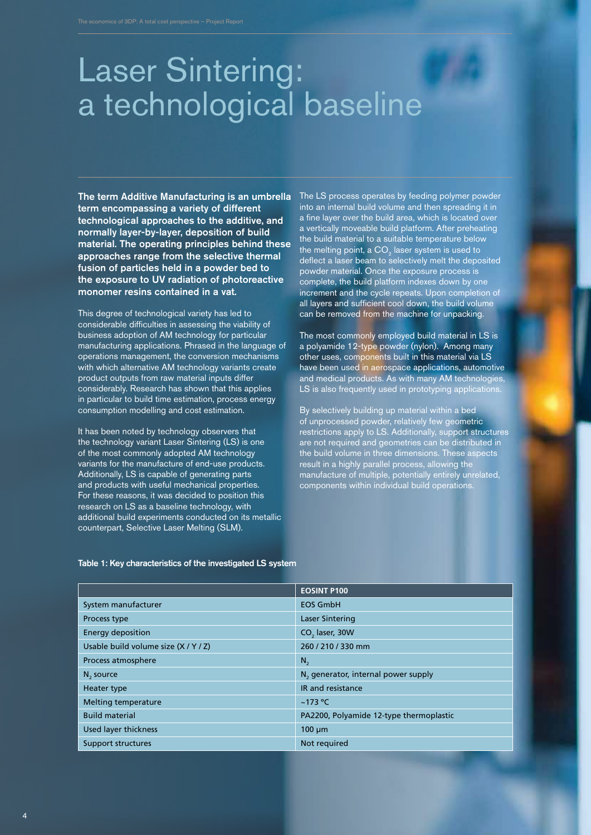### Laser Sintering: a technological baseline

The term Additive Manufacturing is an umbrella The LS process operates by feeding polymer powder term encompassing a variety of different technological approaches to the additive, and normally layer-by-layer, deposition of build material. The operating principles behind these approaches range from the selective thermal fusion of particles held in a powder bed to the exposure to UV radiation of photoreactive monomer resins contained in a vat.

This degree of technological variety has led to considerable difficulties in assessing the viability of business adoption of AM technology for particular manufacturing applications. Phrased in the language of operations management, the conversion mechanisms with which alternative AM technology variants create product outputs from raw material inputs differ considerably. Research has shown that this applies in particular to build time estimation, process energy consumption modelling and cost estimation.

It has been noted by technology observers that the technology variant Laser Sintering (LS) is one of the most commonly adopted AM technology variants for the manufacture of end-use products. Additionally, LS is capable of generating parts and products with useful mechanical properties. For these reasons, it was decided to position this research on LS as a baseline technology, with additional build experiments conducted on its metallic counterpart, Selective Laser Melting (SLM).

into an internal build volume and then spreading it in a fine layer over the build area, which is located over a vertically moveable build platform. After preheating the build material to a suitable temperature below the melting point, a CO $_{\text{2}}$  laser system is used to deflect a laser beam to selectively melt the deposited powder material. Once the exposure process is complete, the build platform indexes down by one increment and the cycle repeats. Upon completion of all layers and sufficient cool down, the build volume can be removed from the machine for unpacking.

The most commonly employed build material in LS is a polyamide 12-type powder (nylon). Among many other uses, components built in this material via LS have been used in aerospace applications, automotive and medical products. As with many AM technologies, LS is also frequently used in prototyping applications.

By selectively building up material within a bed of unprocessed powder, relatively few geometric restrictions apply to LS. Additionally, support structures are not required and geometries can be distributed in the build volume in three dimensions. These aspects result in a highly parallel process, allowing the manufacture of multiple, potentially entirely unrelated, components within individual build operations.

|  |  |  |  |  |  | Table 1: Key characteristics of the investigated LS system |  |  |  |  |  |  |  |  |  |  |  |  |  |  |  |  |  |  |  |  |  |  |  |  |
|--|--|--|--|--|--|------------------------------------------------------------|--|--|--|--|--|--|--|--|--|--|--|--|--|--|--|--|--|--|--|--|--|--|--|--|
|--|--|--|--|--|--|------------------------------------------------------------|--|--|--|--|--|--|--|--|--|--|--|--|--|--|--|--|--|--|--|--|--|--|--|--|

|                                      | <b>EOSINT P100</b>                              |
|--------------------------------------|-------------------------------------------------|
| System manufacturer                  | <b>EOS GmbH</b>                                 |
| Process type                         | <b>Laser Sintering</b>                          |
| <b>Energy deposition</b>             | CO <sub>2</sub> laser, 30W                      |
| Usable build volume size (X / Y / Z) | 260 / 210 / 330 mm                              |
| Process atmosphere                   | $N_{2}$                                         |
| $N2$ source                          | N <sub>2</sub> generator, internal power supply |
| Heater type                          | IR and resistance                               |
| Melting temperature                  | $~173$ °C                                       |
| <b>Build material</b>                | PA2200, Polyamide 12-type thermoplastic         |
| <b>Used layer thickness</b>          | $100 \mu m$                                     |
| Support structures                   | Not required                                    |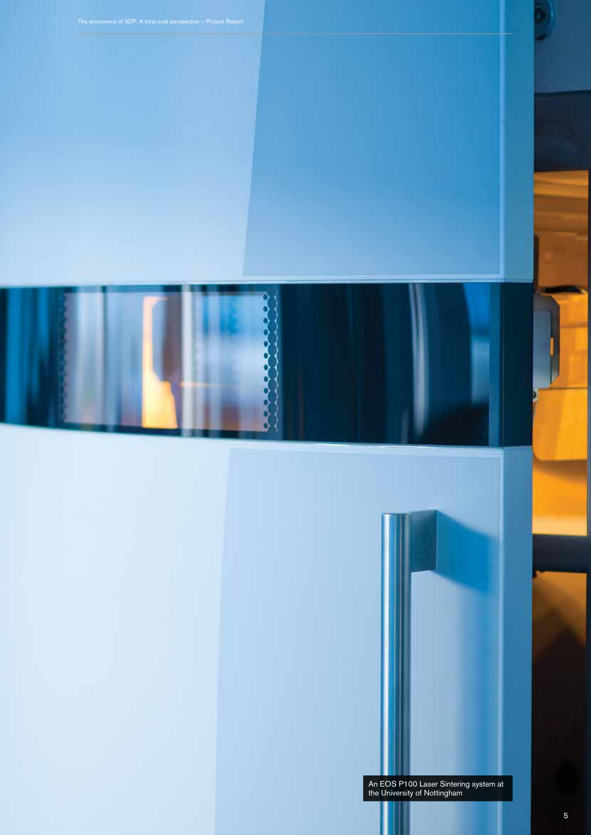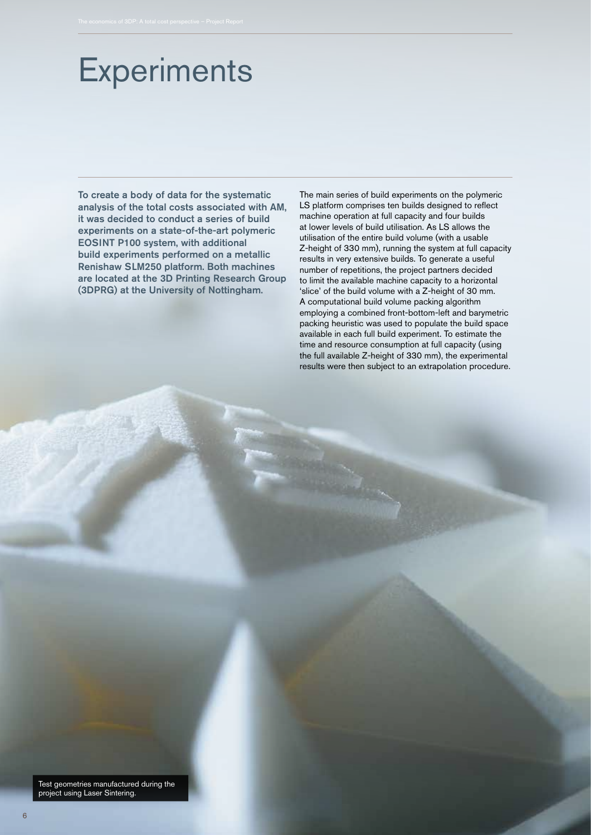# **Experiments**

To create a body of data for the systematic analysis of the total costs associated with AM, it was decided to conduct a series of build experiments on a state-of-the-art polymeric EOSINT P100 system, with additional build experiments performed on a metallic Renishaw SLM250 platform. Both machines are located at the 3D Printing Research Group (3DPRG) at the University of Nottingham.

The main series of build experiments on the polymeric LS platform comprises ten builds designed to reflect machine operation at full capacity and four builds at lower levels of build utilisation. As LS allows the utilisation of the entire build volume (with a usable Z-height of 330 mm), running the system at full capacity results in very extensive builds. To generate a useful number of repetitions, the project partners decided to limit the available machine capacity to a horizontal 'slice' of the build volume with a Z-height of 30 mm. A computational build volume packing algorithm employing a combined front-bottom-left and barymetric packing heuristic was used to populate the build space available in each full build experiment. To estimate the time and resource consumption at full capacity (using the full available Z-height of 330 mm), the experimental results were then subject to an extrapolation procedure.

Test geometries manufactured during the project using Laser Sintering.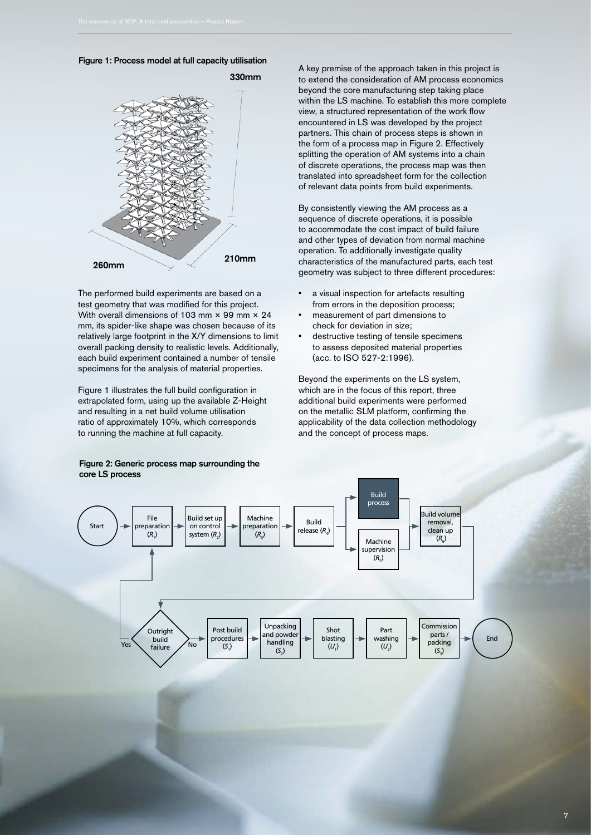



The performed build experiments are based on a test geometry that was modified for this project. With overall dimensions of 103 mm × 99 mm × 24 mm, its spider-like shape was chosen because of its relatively large footprint in the X/Y dimensions to limit overall packing density to realistic levels. Additionally, each build experiment contained a number of tensile specimens for the analysis of material properties.

Figure 1 illustrates the full build configuration in extrapolated form, using up the available Z-Height and resulting in a net build volume utilisation ratio of approximately 10%, which corresponds to running the machine at full capacity.

Figure 2: Generic process map surrounding the core LS process

A key premise of the approach taken in this project is to extend the consideration of AM process economics beyond the core manufacturing step taking place within the LS machine. To establish this more complete view, a structured representation of the work flow encountered in LS was developed by the project partners. This chain of process steps is shown in the form of a process map in Figure 2. Effectively splitting the operation of AM systems into a chain of discrete operations, the process map was then translated into spreadsheet form for the collection of relevant data points from build experiments.

By consistently viewing the AM process as a sequence of discrete operations, it is possible to accommodate the cost impact of build failure and other types of deviation from normal machine operation. To additionally investigate quality characteristics of the manufactured parts, each test geometry was subject to three different procedures:

- a visual inspection for artefacts resulting from errors in the deposition process;
- measurement of part dimensions to check for deviation in size;
- destructive testing of tensile specimens to assess deposited material properties (acc. to ISO 527-2:1996).

Beyond the experiments on the LS system, which are in the focus of this report, three additional build experiments were performed on the metallic SLM platform, confirming the applicability of the data collection methodology and the concept of process maps.

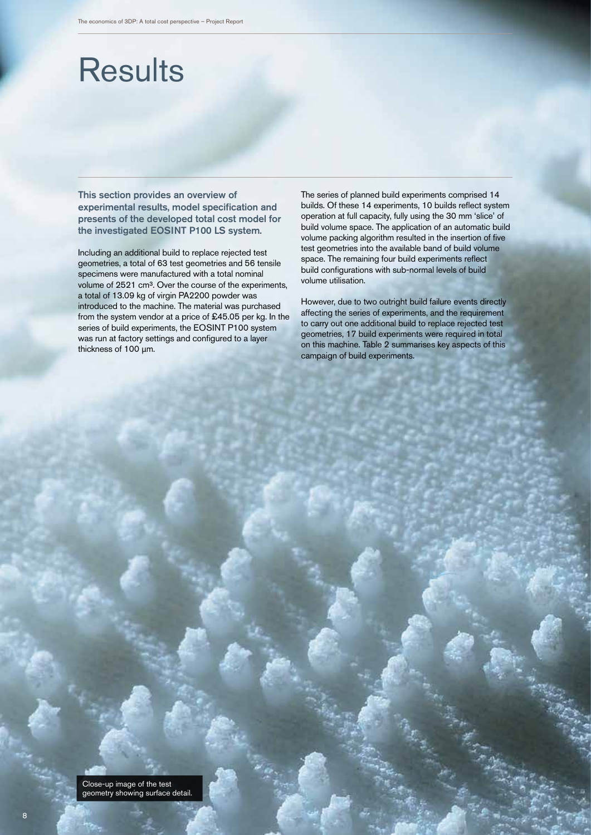## **Results**

This section provides an overview of experimental results, model specification and presents of the developed total cost model for the investigated EOSINT P100 LS system.

Including an additional build to replace rejected test geometries, a total of 63 test geometries and 56 tensile specimens were manufactured with a total nominal volume of 2521 cm<sup>3</sup>. Over the course of the experiments, a total of 13.09 kg of virgin PA2200 powder was introduced to the machine. The material was purchased from the system vendor at a price of £45.05 per kg. In the series of build experiments, the EOSINT P100 system was run at factory settings and configured to a layer thickness of 100 μm.

The series of planned build experiments comprised 14 builds. Of these 14 experiments, 10 builds reflect system operation at full capacity, fully using the 30 mm 'slice' of build volume space. The application of an automatic build volume packing algorithm resulted in the insertion of five test geometries into the available band of build volume space. The remaining four build experiments reflect build configurations with sub-normal levels of build volume utilisation.

However, due to two outright build failure events directly affecting the series of experiments, and the requirement to carry out one additional build to replace rejected test geometries, 17 build experiments were required in total on this machine. Table 2 summarises key aspects of this campaign of build experiments.

Close-up image of the test geometry showing surface detail.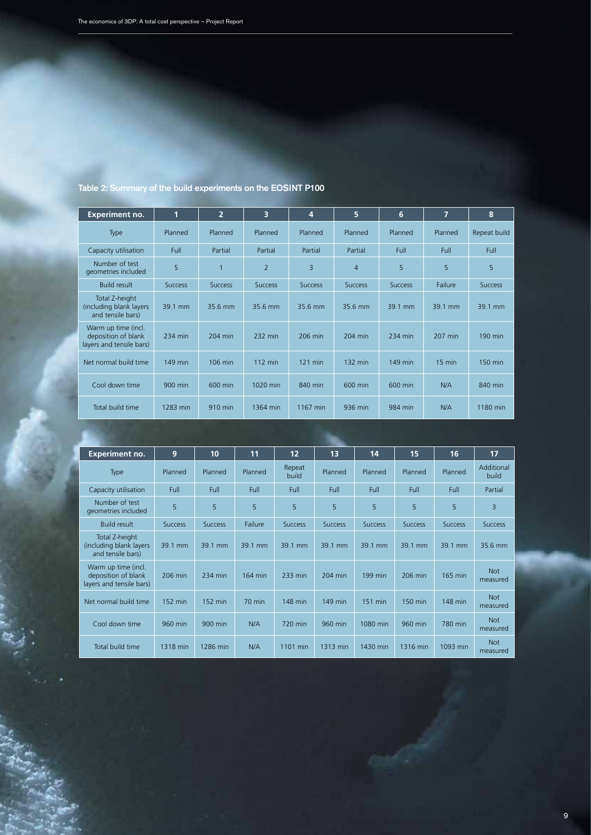| <b>Experiment no.</b>                                                  | 1              | $\overline{2}$ | 3                 | 4              | 5              | $6\phantom{1}$ | 7                | 8              |
|------------------------------------------------------------------------|----------------|----------------|-------------------|----------------|----------------|----------------|------------------|----------------|
| Type                                                                   | Planned        | Planned        | Planned           | Planned        | Planned        | Planned        | Planned          | Repeat build   |
| Capacity utilisation                                                   | <b>Full</b>    | Partial        | Partial           | Partial        | Partial        | <b>Full</b>    | Full             | Full           |
| Number of test<br>geometries included                                  | 5              | $\overline{1}$ | $\overline{2}$    | 3              | $\overline{4}$ | 5              | 5                | 5              |
| <b>Build result</b>                                                    | <b>Success</b> | <b>Success</b> | <b>Success</b>    | <b>Success</b> | <b>Success</b> | <b>Success</b> | Failure          | <b>Success</b> |
| Total Z-height<br>(including blank layers)<br>and tensile bars)        | 39.1 mm        | 35.6 mm        | 35.6 mm           | 35.6 mm        | 35.6 mm        | 39.1 mm        | 39.1 mm          | 39.1 mm        |
| Warm up time (incl.<br>deposition of blank<br>layers and tensile bars) | 234 min        | 204 min        | 232 min           | 206 min        | 204 min        | 234 min        | 207 min          | 190 min        |
| Net normal build time                                                  | 149 min        | $106$ min      | $112 \text{ min}$ | $121$ min      | 132 min        | 149 min        | $15 \text{ min}$ | 150 min        |
| Cool down time                                                         | 900 min        | 600 min        | 1020 min          | 840 min        | 600 min        | 600 min        | N/A              | 840 min        |
| Total build time                                                       | 1283 min       | 910 min        | 1364 min          | 1167 min       | 936 min        | 984 min        | N/A              | 1180 min       |

### Table 2: Summary of the build experiments on the EOSINT P100

| <b>Experiment no.</b>                                                  | 9              | 10             | 11               | 12              | 13             | 14             | 15             | 16             | 17                     |
|------------------------------------------------------------------------|----------------|----------------|------------------|-----------------|----------------|----------------|----------------|----------------|------------------------|
| <b>Type</b>                                                            | Planned        | Planned        | Planned          | Repeat<br>build | Planned        | Planned        | Planned        | Planned        | Additional<br>build    |
| Capacity utilisation                                                   | Full           | <b>Full</b>    | <b>Full</b>      | <b>Full</b>     | Full           | Full           | Full           | <b>Full</b>    | Partial                |
| Number of test<br>geometries included                                  | 5              | 5              | 5                | 5               | 5              | 5              | 5              | 5              | $\overline{3}$         |
| <b>Build result</b>                                                    | <b>Success</b> | <b>Success</b> | Failure          | <b>Success</b>  | <b>Success</b> | <b>Success</b> | <b>Success</b> | <b>Success</b> | <b>Success</b>         |
| Total Z-height<br>(including blank layers)<br>and tensile bars)        | 39.1 mm        | 39.1 mm        | 39.1 mm          | 39.1 mm         | 39.1 mm        | 39.1 mm        | 39.1 mm        | 39.1 mm        | 35.6 mm                |
| Warm up time (incl.<br>deposition of blank<br>layers and tensile bars) | 206 min        | 234 min        | 164 min          | 233 min         | 204 min        | 199 min        | 206 min        | 165 min        | <b>Not</b><br>measured |
| Net normal build time                                                  | 152 min        | 152 min        | $70 \text{ min}$ | 148 min         | 149 min        | 151 min        | 150 min        | 148 min        | <b>Not</b><br>measured |
| Cool down time                                                         | 960 min        | 900 min        | N/A              | 720 min         | 960 min        | 1080 min       | 960 min        | 780 min        | <b>Not</b><br>measured |
| Total build time                                                       | 1318 min       | 1286 min       | N/A              | 1101 min        | 1313 min       | 1430 min       | 1316 min       | 1093 min       | <b>Not</b><br>measured |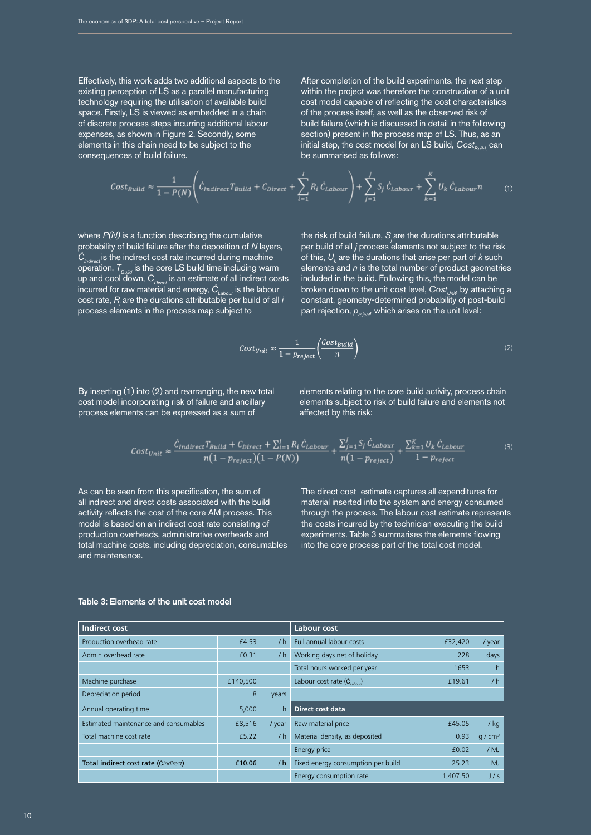Effectively, this work adds two additional aspects to the existing perception of LS as a parallel manufacturing technology requiring the utilisation of available build space. Firstly, LS is viewed as embedded in a chain of discrete process steps incurring additional labour expenses, as shown in Figure 2. Secondly, some elements in this chain need to be subject to the consequences of build failure.

After completion of the build experiments, the next step within the project was therefore the construction of a unit cost model capable of reflecting the cost characteristics of the process itself, as well as the observed risk of build failure (which is discussed in detail in the following section) present in the process map of LS. Thus, as an initial step, the cost model for an LS build, Cost<sub>Build,</sub> can be summarised as follows:

$$
Cost_{Build} \approx \frac{1}{1 - P(N)} \left( \dot{C}_{Indirect} T_{Build} + C_{Direct} + \sum_{i=1}^{I} R_i \dot{C}_{Labour} \right) + \sum_{j=1}^{J} S_j \dot{C}_{Labour} + \sum_{k=1}^{K} U_k \dot{C}_{Labour} n \tag{1}
$$

where *P(N)* is a function describing the cumulative probability of build failure after the deposition of *N* layers, *ĊIndirect* is the indirect cost rate incurred during machine operation,  $T_{\text{Build}}$  is the core LS build time including warm up and cool down, C<sub>Direct</sub> is an estimate of all indirect costs incurred for raw material and energy, *ĊLabour* is the labour cost rate,  $R_{\scriptscriptstyle\!f}$  are the durations attributable per build of all *i* process elements in the process map subject to

the risk of build failure, *Sj* are the durations attributable per build of all *j* process elements not subject to the risk of this,  $U_k$  are the durations that arise per part of *k* such elements and *n* is the total number of product geometries included in the build. Following this, the model can be broken down to the unit cost level, *Cost<sub>unit</sub>*, by attaching a constant, geometry-determined probability of post-build part rejection,  $p_{reject}$ , which arises on the unit level:

$$
Cost_{Unit} \approx \frac{1}{1 - p_{reject}} \left( \frac{Cost_{Build}}{n} \right)
$$
 (2)

By inserting (1) into (2) and rearranging, the new total cost model incorporating risk of failure and ancillary process elements can be expressed as a sum of

elements relating to the core build activity, process chain elements subject to risk of build failure and elements not affected by this risk:

$$
Cost_{Unit} \approx \frac{\dot{C}_{Indirect}T_{Build} + C_{Direct} + \sum_{i=1}^{I} R_i \dot{C}_{Labour}}{n(1 - p_{reject})(1 - P(N))} + \frac{\sum_{j=1}^{J} S_j \dot{C}_{Labour}}{n(1 - p_{reject})} + \frac{\sum_{k=1}^{K} U_k \dot{C}_{Labour}}{1 - p_{reject}} \tag{3}
$$

As can be seen from this specification, the sum of all indirect and direct costs associated with the build activity reflects the cost of the core AM process. This model is based on an indirect cost rate consisting of production overheads, administrative overheads and total machine costs, including depreciation, consumables and maintenance.

The direct cost estimate captures all expenditures for material inserted into the system and energy consumed through the process. The labour cost estimate represents the costs incurred by the technician executing the build experiments. Table 3 summarises the elements flowing into the core process part of the total cost model.

| Indirect cost                         |          | Labour cost |                                    |          |                     |  |  |  |
|---------------------------------------|----------|-------------|------------------------------------|----------|---------------------|--|--|--|
| Production overhead rate              | £4.53    | /h          | <b>Full annual labour costs</b>    | £32,420  | / year              |  |  |  |
| Admin overhead rate                   | £0.31    | /h          | Working days net of holiday        | 228      | days                |  |  |  |
|                                       |          |             | Total hours worked per year        | 1653     | h                   |  |  |  |
| Machine purchase                      | £140,500 |             | Labour cost rate $(C_{labow})$     | £19.61   | /h                  |  |  |  |
| Depreciation period                   | 8        | vears       |                                    |          |                     |  |  |  |
| Annual operating time                 | 5,000    | h.          | <b>Direct cost data</b>            |          |                     |  |  |  |
| Estimated maintenance and consumables | £8,516   | / year      | Raw material price                 | £45.05   | / kg                |  |  |  |
| Total machine cost rate               | f5.22    | /h          | Material density, as deposited     | 0.93     | q / cm <sup>3</sup> |  |  |  |
|                                       |          |             | Energy price                       | f(0.02)  | $/$ MJ              |  |  |  |
| Total indirect cost rate (CIndirect)  | £10.06   | /h          | Fixed energy consumption per build | 25.23    | MJ                  |  |  |  |
|                                       |          |             | Energy consumption rate            | 1,407.50 | J/s                 |  |  |  |

### Table 3: Elements of the unit cost model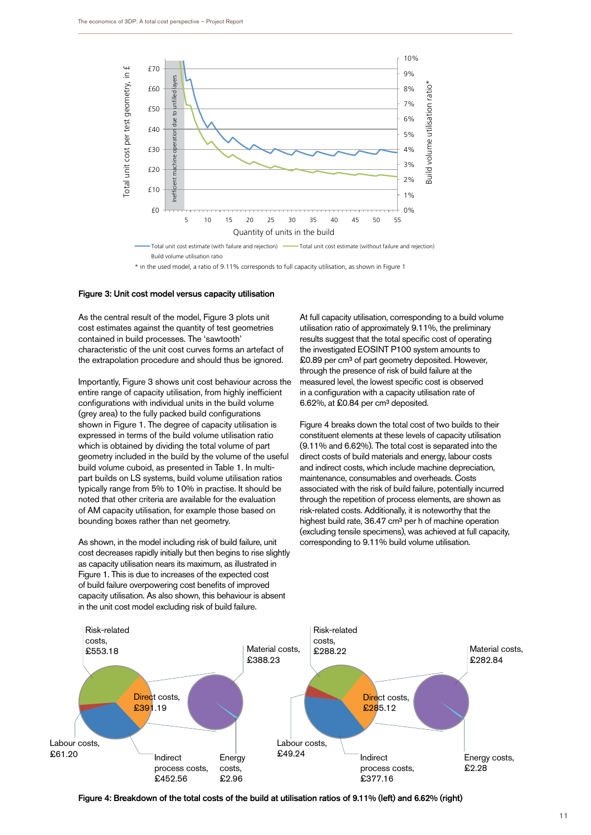

Total unit cost estimate and regention  $\mathcal{L}$  unit cost estimate (without failure and rejection)  $\mathcal{L}$ Total unit cost estimate (with failure and rejection) -

\* in the used model, a ratio of 9.11% corresponds to full capacity utilisation, as shown in Figure 1

#### Figure 3: Unit cost model versus capacity utilisation

As the central result of the model, Figure 3 plots unit cost estimates against the quantity of test geometries contained in build processes. The 'sawtooth' characteristic of the unit cost curves forms an artefact of the extrapolation procedure and should thus be ignored.

Importantly, Figure 3 shows unit cost behaviour across the entire range of capacity utilisation, from highly inefficient configurations with individual units in the build volume (grey area) to the fully packed build configurations shown in Figure 1. The degree of capacity utilisation is expressed in terms of the build volume utilisation ratio which is obtained by dividing the total volume of part geometry included in the build by the volume of the useful build volume cuboid, as presented in Table 1. In multipart builds on LS systems, build volume utilisation ratios typically range from 5% to 10% in practise. It should be noted that other criteria are available for the evaluation of AM capacity utilisation, for example those based on bounding boxes rather than net geometry.

As shown, in the model including risk of build failure, unit cost decreases rapidly initially but then begins to rise slightly as capacity utilisation nears its maximum, as illustrated in Figure 1. This is due to increases of the expected cost of build failure overpowering cost benefits of improved capacity utilisation. As also shown, this behaviour is absent in the unit cost model excluding risk of build failure.

At full capacity utilisation, corresponding to a build volume utilisation ratio of approximately 9.11%, the preliminary results suggest that the total specific cost of operating the investigated EOSINT P100 system amounts to £0.89 per cm<sup>3</sup> of part geometry deposited. However, through the presence of risk of build failure at the measured level, the lowest specific cost is observed in a configuration with a capacity utilisation rate of 6.62%, at  $$0.84$  per cm<sup>3</sup> deposited.

Figure 4 breaks down the total cost of two builds to their constituent elements at these levels of capacity utilisation (9.11% and 6.62%). The total cost is separated into the direct costs of build materials and energy, labour costs and indirect costs, which include machine depreciation, maintenance, consumables and overheads. Costs associated with the risk of build failure, potentially incurred through the repetition of process elements, are shown as risk-related costs. Additionally, it is noteworthy that the highest build rate, 36.47 cm<sup>3</sup> per h of machine operation (excluding tensile specimens), was achieved at full capacity, corresponding to 9.11% build volume utilisation.



Figure 4: Breakdown of the total costs of the build at utilisation ratios of 9.11% (left) and 6.62% (right)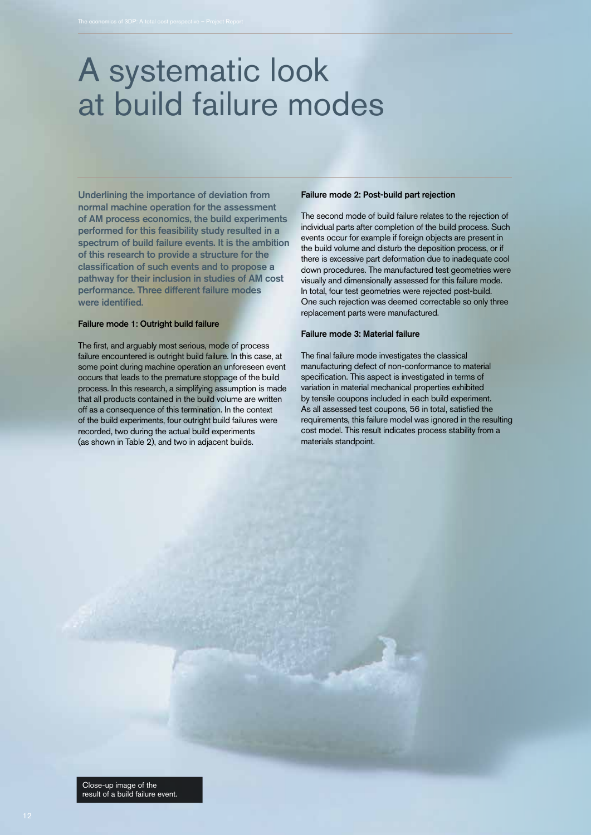### A systematic look at build failure modes

Underlining the importance of deviation from normal machine operation for the assessment of AM process economics, the build experiments performed for this feasibility study resulted in a spectrum of build failure events. It is the ambition of this research to provide a structure for the classification of such events and to propose a pathway for their inclusion in studies of AM cost performance. Three different failure modes were identified.

### Failure mode 1: Outright build failure

The first, and arguably most serious, mode of process failure encountered is outright build failure. In this case, at some point during machine operation an unforeseen event occurs that leads to the premature stoppage of the build process. In this research, a simplifying assumption is made that all products contained in the build volume are written off as a consequence of this termination. In the context of the build experiments, four outright build failures were recorded, two during the actual build experiments (as shown in Table 2), and two in adjacent builds.

### Failure mode 2: Post-build part rejection

The second mode of build failure relates to the rejection of individual parts after completion of the build process. Such events occur for example if foreign objects are present in the build volume and disturb the deposition process, or if there is excessive part deformation due to inadequate cool down procedures. The manufactured test geometries were visually and dimensionally assessed for this failure mode. In total, four test geometries were rejected post-build. One such rejection was deemed correctable so only three replacement parts were manufactured.

#### Failure mode 3: Material failure

The final failure mode investigates the classical manufacturing defect of non-conformance to material specification. This aspect is investigated in terms of variation in material mechanical properties exhibited by tensile coupons included in each build experiment. As all assessed test coupons, 56 in total, satisfied the requirements, this failure model was ignored in the resulting cost model. This result indicates process stability from a materials standpoint.

Close-up image of the result of a build failure event.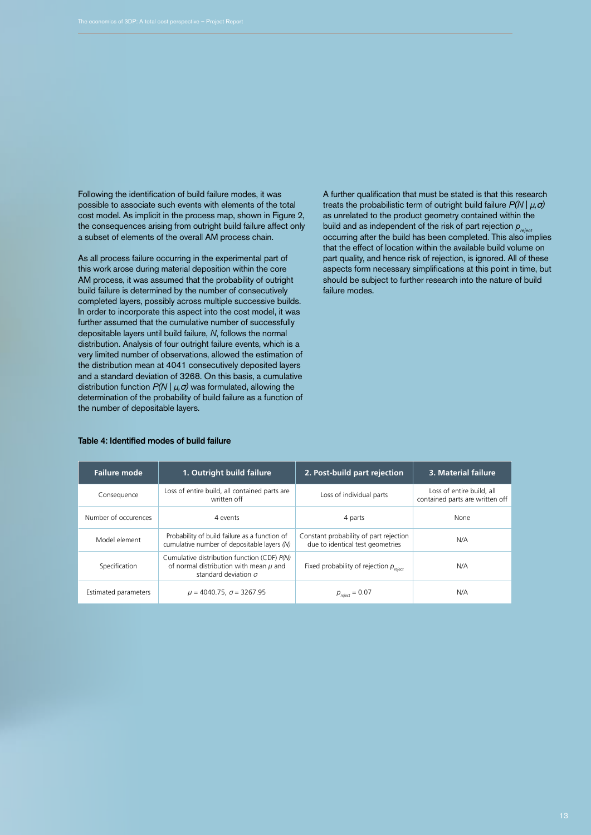Following the identification of build failure modes, it was possible to associate such events with elements of the total cost model. As implicit in the process map, shown in Figure 2, the consequences arising from outright build failure affect only a subset of elements of the overall AM process chain.

As all process failure occurring in the experimental part of this work arose during material deposition within the core AM process, it was assumed that the probability of outright build failure is determined by the number of consecutively completed layers, possibly across multiple successive builds. In order to incorporate this aspect into the cost model, it was further assumed that the cumulative number of successfully depositable layers until build failure, *N*, follows the normal distribution. Analysis of four outright failure events, which is a very limited number of observations, allowed the estimation of the distribution mean at 4041 consecutively deposited layers and a standard deviation of 3268. On this basis, a cumulative distribution function *P(N* | *μ,*σ*)* was formulated, allowing the determination of the probability of build failure as a function of the number of depositable layers.

A further qualification that must be stated is that this research treats the probabilistic term of outright build failure *P(N* | *μ,*σ*)* as unrelated to the product geometry contained within the build and as independent of the risk of part rejection  $p_{\text{reject}}$ occurring after the build has been completed. This also implies that the effect of location within the available build volume on part quality, and hence risk of rejection, is ignored. All of these aspects form necessary simplifications at this point in time, but should be subject to further research into the nature of build failure modes.

#### Table 4: Identified modes of build failure

| <b>Failure mode</b>  | 1. Outright build failure                                                                                                | 2. Post-build part rejection                                               | 3. Material failure                                          |
|----------------------|--------------------------------------------------------------------------------------------------------------------------|----------------------------------------------------------------------------|--------------------------------------------------------------|
| Consequence          | Loss of entire build, all contained parts are<br>written off                                                             | Loss of individual parts                                                   | Loss of entire build, all<br>contained parts are written off |
| Number of occurences | 4 events                                                                                                                 | 4 parts                                                                    | None                                                         |
| Model element        | Probability of build failure as a function of<br>cumulative number of depositable layers (N)                             | Constant probability of part rejection<br>due to identical test geometries | N/A                                                          |
| Specification        | Cumulative distribution function (CDF) P(N)<br>of normal distribution with mean $\mu$ and<br>standard deviation $\sigma$ | Fixed probability of rejection $p_{\text{reject}}$                         | N/A                                                          |
| Estimated parameters | $\mu$ = 4040.75, $\sigma$ = 3267.95                                                                                      | $p_{\text{reject}} = 0.07$                                                 | N/A                                                          |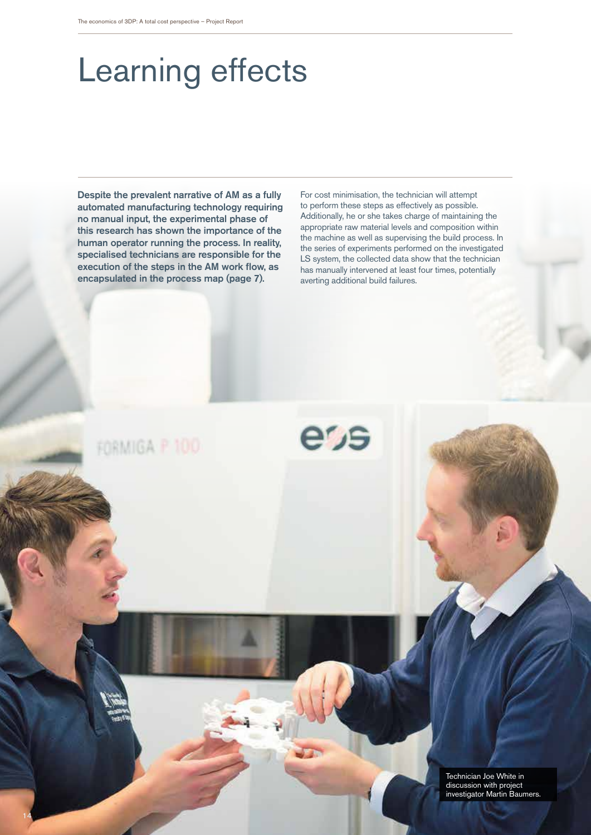# Learning effects

Despite the prevalent narrative of AM as a fully automated manufacturing technology requiring no manual input, the experimental phase of this research has shown the importance of the human operator running the process. In reality, specialised technicians are responsible for the execution of the steps in the AM work flow, as encapsulated in the process map (page 7).

For cost minimisation, the technician will attempt to perform these steps as effectively as possible. Additionally, he or she takes charge of maintaining the appropriate raw material levels and composition within the machine as well as supervising the build process. In the series of experiments performed on the investigated LS system, the collected data show that the technician has manually intervened at least four times, potentially averting additional build failures.

e'<sub>JS</sub>

FORMIGA P 100

14

Technician Joe White in discussion with project investigator Martin Baumers.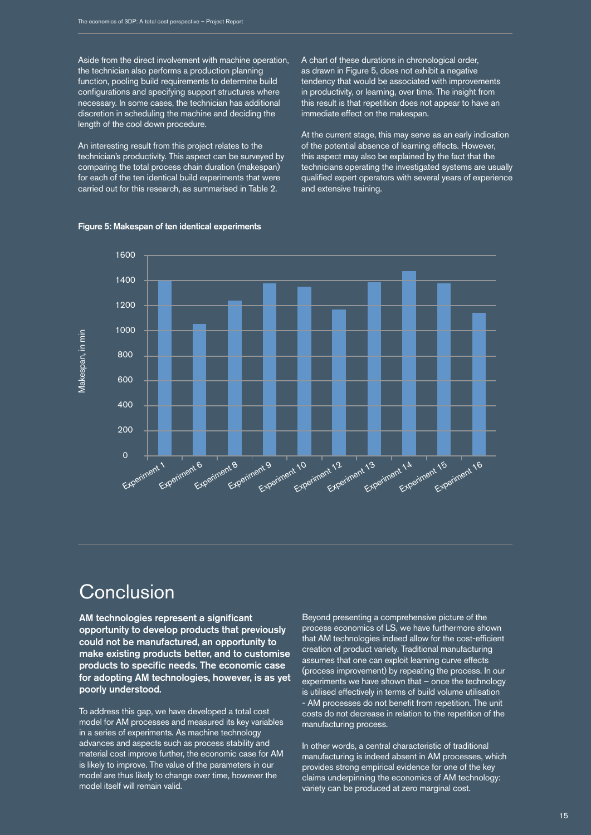Aside from the direct involvement with machine operation, the technician also performs a production planning function, pooling build requirements to determine build configurations and specifying support structures where necessary. In some cases, the technician has additional discretion in scheduling the machine and deciding the length of the cool down procedure.

An interesting result from this project relates to the technician's productivity. This aspect can be surveyed by comparing the total process chain duration (makespan) for each of the ten identical build experiments that were carried out for this research, as summarised in Table 2.

A chart of these durations in chronological order, as drawn in Figure 5, does not exhibit a negative tendency that would be associated with improvements in productivity, or learning, over time. The insight from this result is that repetition does not appear to have an immediate effect on the makespan.

At the current stage, this may serve as an early indication of the potential absence of learning effects. However, this aspect may also be explained by the fact that the technicians operating the investigated systems are usually qualified expert operators with several years of experience and extensive training.



### Figure 5: Makespan of ten identical experiments

### Conclusion

AM technologies represent a significant opportunity to develop products that previously could not be manufactured, an opportunity to make existing products better, and to customise products to specific needs. The economic case for adopting AM technologies, however, is as yet poorly understood.

To address this gap, we have developed a total cost model for AM processes and measured its key variables in a series of experiments. As machine technology advances and aspects such as process stability and material cost improve further, the economic case for AM is likely to improve. The value of the parameters in our model are thus likely to change over time, however the model itself will remain valid.

Beyond presenting a comprehensive picture of the process economics of LS, we have furthermore shown that AM technologies indeed allow for the cost-efficient creation of product variety. Traditional manufacturing assumes that one can exploit learning curve effects (process improvement) by repeating the process. In our experiments we have shown that – once the technology is utilised effectively in terms of build volume utilisation - AM processes do not benefit from repetition. The unit costs do not decrease in relation to the repetition of the manufacturing process.

In other words, a central characteristic of traditional manufacturing is indeed absent in AM processes, which provides strong empirical evidence for one of the key claims underpinning the economics of AM technology: variety can be produced at zero marginal cost.